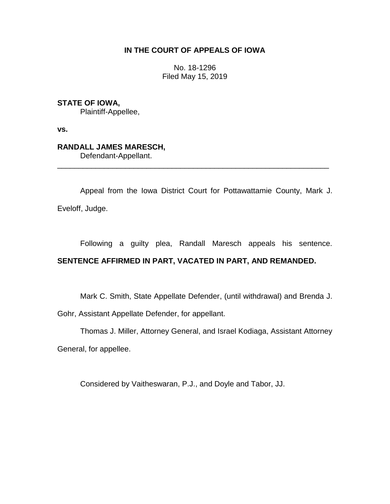## **IN THE COURT OF APPEALS OF IOWA**

No. 18-1296 Filed May 15, 2019

**STATE OF IOWA,**

Plaintiff-Appellee,

**vs.**

## **RANDALL JAMES MARESCH,**

Defendant-Appellant.

Appeal from the Iowa District Court for Pottawattamie County, Mark J. Eveloff, Judge.

\_\_\_\_\_\_\_\_\_\_\_\_\_\_\_\_\_\_\_\_\_\_\_\_\_\_\_\_\_\_\_\_\_\_\_\_\_\_\_\_\_\_\_\_\_\_\_\_\_\_\_\_\_\_\_\_\_\_\_\_\_\_\_\_

Following a guilty plea, Randall Maresch appeals his sentence. **SENTENCE AFFIRMED IN PART, VACATED IN PART, AND REMANDED.**

Mark C. Smith, State Appellate Defender, (until withdrawal) and Brenda J.

Gohr, Assistant Appellate Defender, for appellant.

Thomas J. Miller, Attorney General, and Israel Kodiaga, Assistant Attorney

General, for appellee.

Considered by Vaitheswaran, P.J., and Doyle and Tabor, JJ.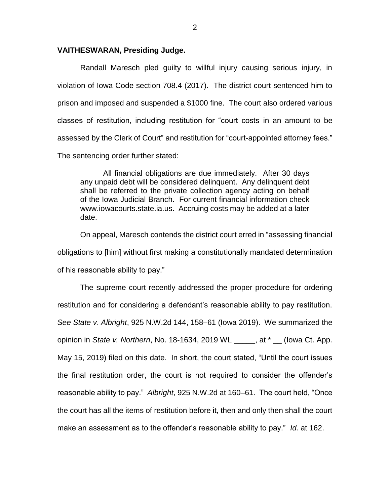## **VAITHESWARAN, Presiding Judge.**

Randall Maresch pled guilty to willful injury causing serious injury, in violation of Iowa Code section 708.4 (2017). The district court sentenced him to prison and imposed and suspended a \$1000 fine. The court also ordered various classes of restitution, including restitution for "court costs in an amount to be assessed by the Clerk of Court" and restitution for "court-appointed attorney fees." The sentencing order further stated:

All financial obligations are due immediately. After 30 days any unpaid debt will be considered delinquent. Any delinquent debt shall be referred to the private collection agency acting on behalf of the Iowa Judicial Branch. For current financial information check www.iowacourts.state.ia.us. Accruing costs may be added at a later date.

On appeal, Maresch contends the district court erred in "assessing financial obligations to [him] without first making a constitutionally mandated determination of his reasonable ability to pay."

The supreme court recently addressed the proper procedure for ordering restitution and for considering a defendant's reasonable ability to pay restitution. *See State v*. *Albright*, 925 N.W.2d 144, 158–61 (Iowa 2019). We summarized the opinion in *State v. Northern*, No. 18-1634, 2019 WL \_\_\_\_\_, at \* \_\_ (Iowa Ct. App. May 15, 2019) filed on this date. In short, the court stated, "Until the court issues the final restitution order, the court is not required to consider the offender's reasonable ability to pay." *Albright*, 925 N.W.2d at 160–61. The court held, "Once the court has all the items of restitution before it, then and only then shall the court make an assessment as to the offender's reasonable ability to pay." *Id.* at 162.